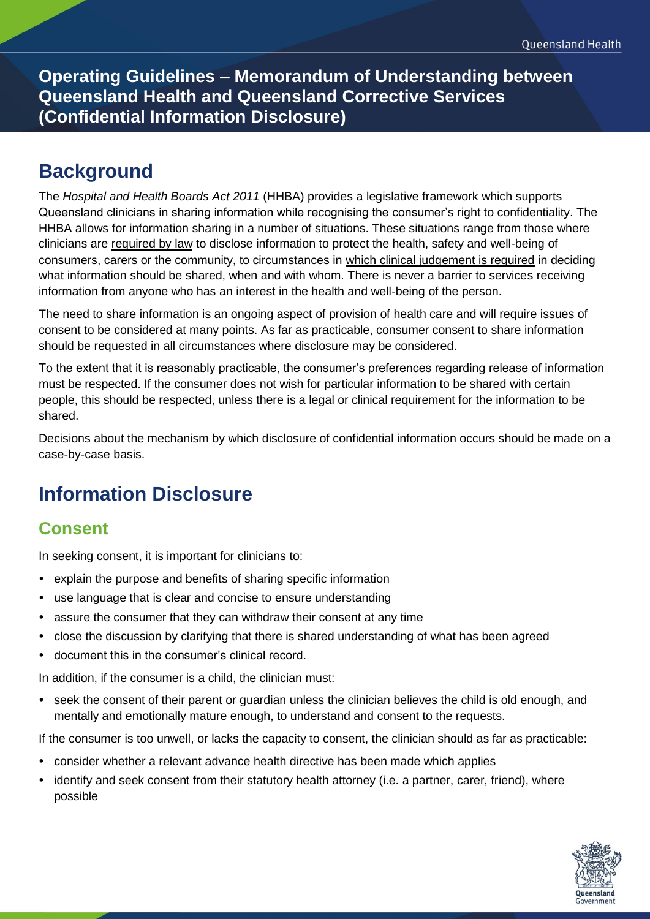**Operating Guidelines – Memorandum of Understanding between Queensland Health and Queensland Corrective Services (Confidential Information Disclosure)**

## **Background**

The *Hospital and Health Boards Act 2011* (HHBA) provides a legislative framework which supports Queensland clinicians in sharing information while recognising the consumer's right to confidentiality. The HHBA allows for information sharing in a number of situations. These situations range from those where clinicians are required by law to disclose information to protect the health, safety and well-being of consumers, carers or the community, to circumstances in which clinical judgement is required in deciding what information should be shared, when and with whom. There is never a barrier to services receiving information from anyone who has an interest in the health and well-being of the person.

The need to share information is an ongoing aspect of provision of health care and will require issues of consent to be considered at many points. As far as practicable, consumer consent to share information should be requested in all circumstances where disclosure may be considered.

To the extent that it is reasonably practicable, the consumer's preferences regarding release of information must be respected. If the consumer does not wish for particular information to be shared with certain people, this should be respected, unless there is a legal or clinical requirement for the information to be shared.

Decisions about the mechanism by which disclosure of confidential information occurs should be made on a case-by-case basis.

# **Information Disclosure**

### **Consent**

In seeking consent, it is important for clinicians to:

- explain the purpose and benefits of sharing specific information
- use language that is clear and concise to ensure understanding
- assure the consumer that they can withdraw their consent at any time
- close the discussion by clarifying that there is shared understanding of what has been agreed
- document this in the consumer's clinical record.

In addition, if the consumer is a child, the clinician must:

• seek the consent of their parent or quardian unless the clinician believes the child is old enough, and mentally and emotionally mature enough, to understand and consent to the requests.

If the consumer is too unwell, or lacks the capacity to consent, the clinician should as far as practicable:

- consider whether a relevant advance health directive has been made which applies
- identify and seek consent from their statutory health attorney (i.e. a partner, carer, friend), where possible

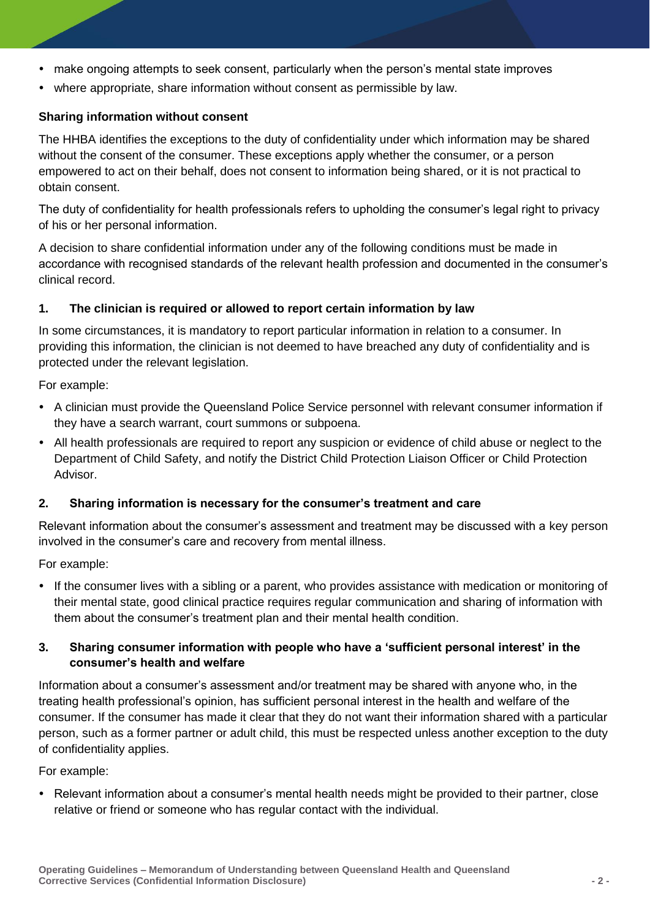- make ongoing attempts to seek consent, particularly when the person's mental state improves
- where appropriate, share information without consent as permissible by law.

#### **Sharing information without consent**

The HHBA identifies the exceptions to the duty of confidentiality under which information may be shared without the consent of the consumer. These exceptions apply whether the consumer, or a person empowered to act on their behalf, does not consent to information being shared, or it is not practical to obtain consent.

The duty of confidentiality for health professionals refers to upholding the consumer's legal right to privacy of his or her personal information.

A decision to share confidential information under any of the following conditions must be made in accordance with recognised standards of the relevant health profession and documented in the consumer's clinical record.

### **1. The clinician is required or allowed to report certain information by law**

In some circumstances, it is mandatory to report particular information in relation to a consumer. In providing this information, the clinician is not deemed to have breached any duty of confidentiality and is protected under the relevant legislation.

For example:

- A clinician must provide the Queensland Police Service personnel with relevant consumer information if they have a search warrant, court summons or subpoena.
- All health professionals are required to report any suspicion or evidence of child abuse or neglect to the Department of Child Safety, and notify the District Child Protection Liaison Officer or Child Protection Advisor.

#### **2. Sharing information is necessary for the consumer's treatment and care**

Relevant information about the consumer's assessment and treatment may be discussed with a key person involved in the consumer's care and recovery from mental illness.

For example:

 If the consumer lives with a sibling or a parent, who provides assistance with medication or monitoring of their mental state, good clinical practice requires regular communication and sharing of information with them about the consumer's treatment plan and their mental health condition.

#### **3. Sharing consumer information with people who have a 'sufficient personal interest' in the consumer's health and welfare**

Information about a consumer's assessment and/or treatment may be shared with anyone who, in the treating health professional's opinion, has sufficient personal interest in the health and welfare of the consumer. If the consumer has made it clear that they do not want their information shared with a particular person, such as a former partner or adult child, this must be respected unless another exception to the duty of confidentiality applies.

For example:

• Relevant information about a consumer's mental health needs might be provided to their partner, close relative or friend or someone who has regular contact with the individual.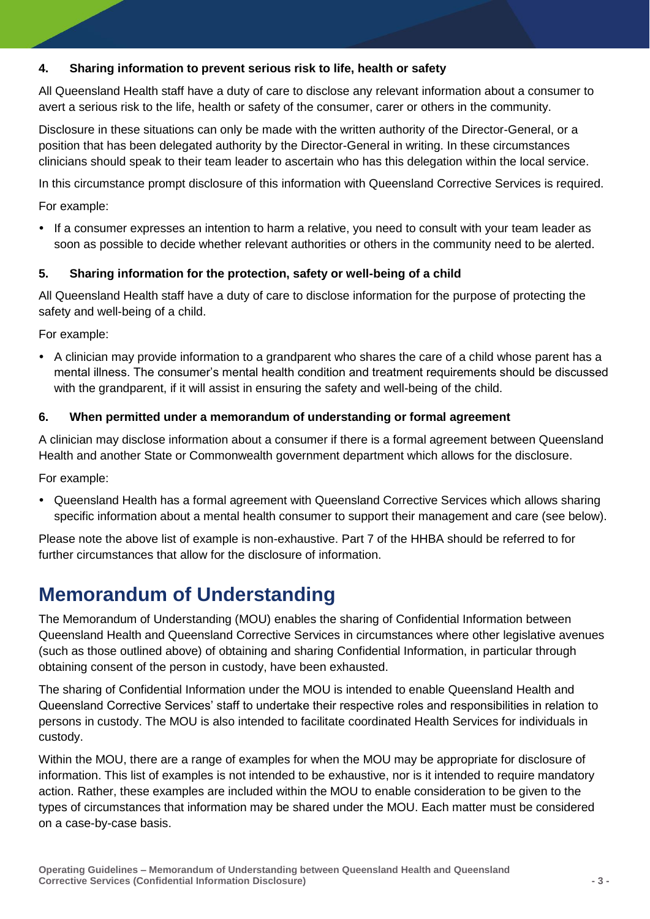#### **4. Sharing information to prevent serious risk to life, health or safety**

All Queensland Health staff have a duty of care to disclose any relevant information about a consumer to avert a serious risk to the life, health or safety of the consumer, carer or others in the community.

Disclosure in these situations can only be made with the written authority of the Director-General, or a position that has been delegated authority by the Director-General in writing. In these circumstances clinicians should speak to their team leader to ascertain who has this delegation within the local service.

In this circumstance prompt disclosure of this information with Queensland Corrective Services is required.

For example:

 If a consumer expresses an intention to harm a relative, you need to consult with your team leader as soon as possible to decide whether relevant authorities or others in the community need to be alerted.

#### **5. Sharing information for the protection, safety or well-being of a child**

All Queensland Health staff have a duty of care to disclose information for the purpose of protecting the safety and well-being of a child.

For example:

• A clinician may provide information to a grandparent who shares the care of a child whose parent has a mental illness. The consumer's mental health condition and treatment requirements should be discussed with the grandparent, if it will assist in ensuring the safety and well-being of the child.

#### **6. When permitted under a memorandum of understanding or formal agreement**

A clinician may disclose information about a consumer if there is a formal agreement between Queensland Health and another State or Commonwealth government department which allows for the disclosure.

For example:

 Queensland Health has a formal agreement with Queensland Corrective Services which allows sharing specific information about a mental health consumer to support their management and care (see below).

Please note the above list of example is non-exhaustive. Part 7 of the HHBA should be referred to for further circumstances that allow for the disclosure of information.

## **Memorandum of Understanding**

The Memorandum of Understanding (MOU) enables the sharing of Confidential Information between Queensland Health and Queensland Corrective Services in circumstances where other legislative avenues (such as those outlined above) of obtaining and sharing Confidential Information, in particular through obtaining consent of the person in custody, have been exhausted.

The sharing of Confidential Information under the MOU is intended to enable Queensland Health and Queensland Corrective Services' staff to undertake their respective roles and responsibilities in relation to persons in custody. The MOU is also intended to facilitate coordinated Health Services for individuals in custody.

Within the MOU, there are a range of examples for when the MOU may be appropriate for disclosure of information. This list of examples is not intended to be exhaustive, nor is it intended to require mandatory action. Rather, these examples are included within the MOU to enable consideration to be given to the types of circumstances that information may be shared under the MOU. Each matter must be considered on a case-by-case basis.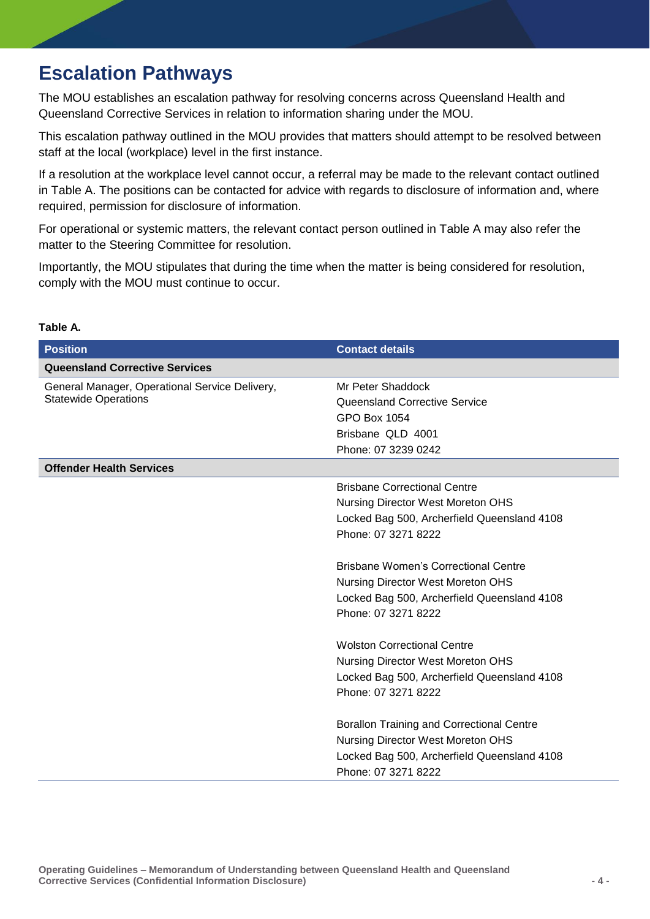### **Escalation Pathways**

The MOU establishes an escalation pathway for resolving concerns across Queensland Health and Queensland Corrective Services in relation to information sharing under the MOU.

This escalation pathway outlined in the MOU provides that matters should attempt to be resolved between staff at the local (workplace) level in the first instance.

If a resolution at the workplace level cannot occur, a referral may be made to the relevant contact outlined in Table A. The positions can be contacted for advice with regards to disclosure of information and, where required, permission for disclosure of information.

For operational or systemic matters, the relevant contact person outlined in Table A may also refer the matter to the Steering Committee for resolution.

Importantly, the MOU stipulates that during the time when the matter is being considered for resolution, comply with the MOU must continue to occur.

| <b>Position</b>                                                               | <b>Contact details</b>                           |
|-------------------------------------------------------------------------------|--------------------------------------------------|
| <b>Queensland Corrective Services</b>                                         |                                                  |
| General Manager, Operational Service Delivery,<br><b>Statewide Operations</b> | Mr Peter Shaddock                                |
|                                                                               | Queensland Corrective Service                    |
|                                                                               | GPO Box 1054                                     |
|                                                                               | Brisbane QLD 4001                                |
|                                                                               | Phone: 07 3239 0242                              |
| <b>Offender Health Services</b>                                               |                                                  |
|                                                                               | <b>Brisbane Correctional Centre</b>              |
|                                                                               | Nursing Director West Moreton OHS                |
|                                                                               | Locked Bag 500, Archerfield Queensland 4108      |
|                                                                               | Phone: 07 3271 8222                              |
|                                                                               |                                                  |
|                                                                               | <b>Brisbane Women's Correctional Centre</b>      |
|                                                                               | <b>Nursing Director West Moreton OHS</b>         |
|                                                                               | Locked Bag 500, Archerfield Queensland 4108      |
|                                                                               | Phone: 07 3271 8222                              |
|                                                                               |                                                  |
|                                                                               | <b>Wolston Correctional Centre</b>               |
|                                                                               | <b>Nursing Director West Moreton OHS</b>         |
|                                                                               | Locked Bag 500, Archerfield Queensland 4108      |
|                                                                               | Phone: 07 3271 8222                              |
|                                                                               | <b>Borallon Training and Correctional Centre</b> |
|                                                                               | Nursing Director West Moreton OHS                |
|                                                                               | Locked Bag 500, Archerfield Queensland 4108      |
|                                                                               | Phone: 07 3271 8222                              |
|                                                                               |                                                  |

#### **Table A.**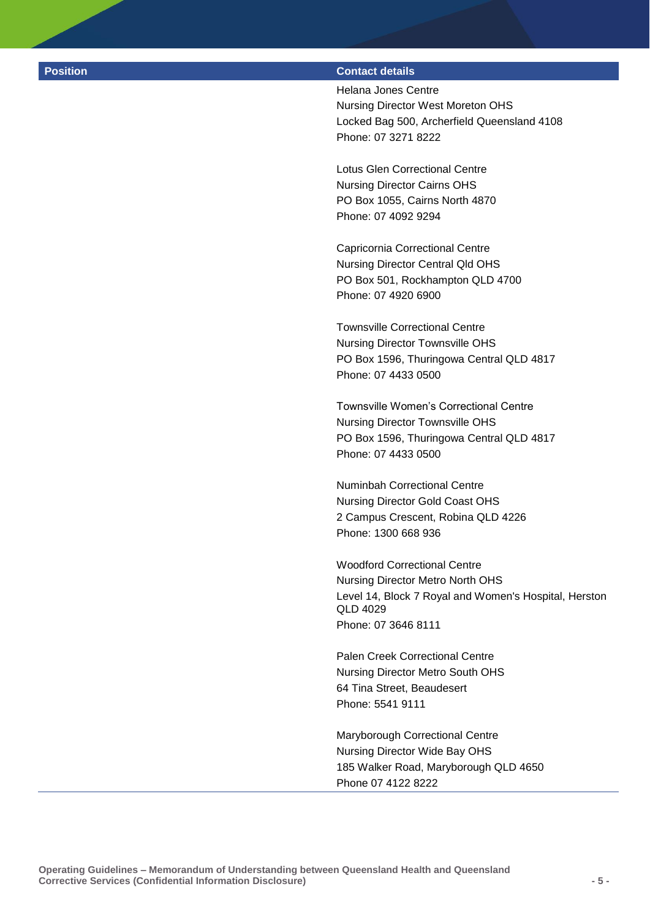#### **Position Contact details**

Helana Jones Centre Nursing Director West Moreton OHS Locked Bag 500, Archerfield Queensland 4108 Phone: 07 3271 8222

Lotus Glen Correctional Centre Nursing Director Cairns OHS PO Box 1055, Cairns North 4870 Phone: 07 4092 9294

Capricornia Correctional Centre Nursing Director Central Qld OHS PO Box 501, Rockhampton QLD 4700 Phone: 07 4920 6900

Townsville Correctional Centre Nursing Director Townsville OHS PO Box 1596, Thuringowa Central QLD 4817 Phone: 07 4433 0500

Townsville Women's Correctional Centre Nursing Director Townsville OHS PO Box 1596, Thuringowa Central QLD 4817 Phone: 07 4433 0500

Numinbah Correctional Centre Nursing Director Gold Coast OHS 2 Campus Crescent, Robina QLD 4226 Phone: 1300 668 936

Woodford Correctional Centre Nursing Director Metro North OHS Level 14, Block 7 Royal and Women's Hospital, Herston QLD 4029 Phone: 07 3646 8111

Palen Creek Correctional Centre Nursing Director Metro South OHS 64 Tina Street, Beaudesert Phone: 5541 9111

Maryborough Correctional Centre Nursing Director Wide Bay OHS 185 Walker Road, Maryborough QLD 4650 Phone 07 4122 8222